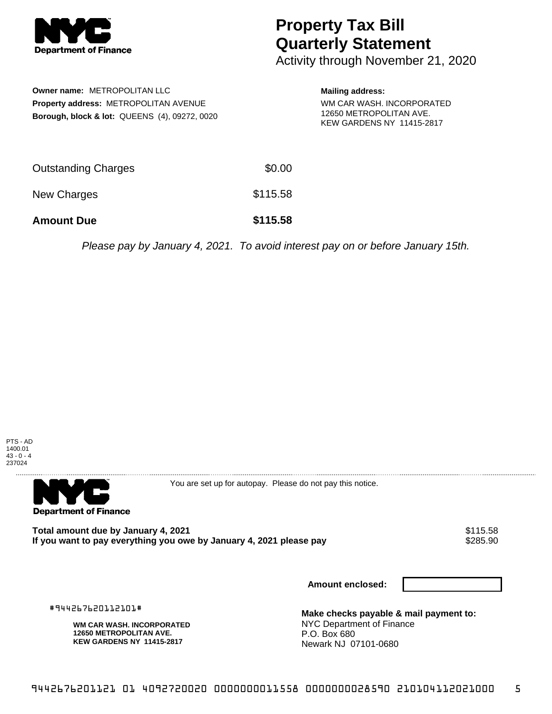

## **Property Tax Bill Quarterly Statement**

Activity through November 21, 2020

**Owner name:** METROPOLITAN LLC **Property address:** METROPOLITAN AVENUE **Borough, block & lot:** QUEENS (4), 09272, 0020

## **Mailing address:**

WM CAR WASH. INCORPORATED 12650 METROPOLITAN AVE. KEW GARDENS NY 11415-2817

| <b>Amount Due</b>          | \$115.58 |
|----------------------------|----------|
| New Charges                | \$115.58 |
| <b>Outstanding Charges</b> | \$0.00   |

Please pay by January 4, 2021. To avoid interest pay on or before January 15th.





You are set up for autopay. Please do not pay this notice.

Total amount due by January 4, 2021<br>If you want to pay everything you owe by January 4, 2021 please pay **show that the summan want of the s**285.90 If you want to pay everything you owe by January 4, 2021 please pay

**Amount enclosed:**

#944267620112101#

**WM CAR WASH. INCORPORATED 12650 METROPOLITAN AVE. KEW GARDENS NY 11415-2817**

**Make checks payable & mail payment to:** NYC Department of Finance P.O. Box 680 Newark NJ 07101-0680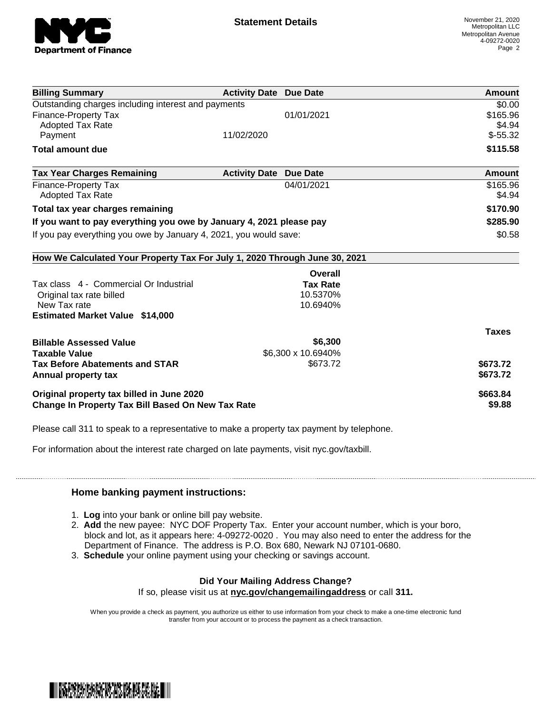

| <b>Billing Summary</b>                                                     | <b>Activity Date Due Date</b> |                    | Amount       |
|----------------------------------------------------------------------------|-------------------------------|--------------------|--------------|
| Outstanding charges including interest and payments                        |                               |                    | \$0.00       |
| Finance-Property Tax                                                       |                               | 01/01/2021         | \$165.96     |
| <b>Adopted Tax Rate</b>                                                    |                               |                    | \$4.94       |
| Payment                                                                    | 11/02/2020                    |                    | $$-55.32$    |
| <b>Total amount due</b>                                                    |                               |                    | \$115.58     |
| <b>Tax Year Charges Remaining</b>                                          | <b>Activity Date</b>          | <b>Due Date</b>    | Amount       |
| <b>Finance-Property Tax</b>                                                |                               | 04/01/2021         | \$165.96     |
| <b>Adopted Tax Rate</b>                                                    |                               |                    | \$4.94       |
| Total tax year charges remaining                                           |                               |                    | \$170.90     |
| If you want to pay everything you owe by January 4, 2021 please pay        |                               |                    | \$285.90     |
| If you pay everything you owe by January 4, 2021, you would save:          |                               | \$0.58             |              |
| How We Calculated Your Property Tax For July 1, 2020 Through June 30, 2021 |                               |                    |              |
|                                                                            |                               | Overall            |              |
| Tax class 4 - Commercial Or Industrial                                     |                               | <b>Tax Rate</b>    |              |
| Original tax rate billed                                                   |                               | 10.5370%           |              |
| New Tax rate                                                               |                               | 10.6940%           |              |
| <b>Estimated Market Value \$14,000</b>                                     |                               |                    |              |
|                                                                            |                               |                    | <b>Taxes</b> |
| <b>Billable Assessed Value</b>                                             |                               | \$6,300            |              |
| <b>Taxable Value</b>                                                       |                               | \$6,300 x 10.6940% |              |
| <b>Tax Before Abatements and STAR</b>                                      |                               | \$673.72           | \$673.72     |
| Annual property tax                                                        |                               |                    | \$673.72     |
| Original property tax billed in June 2020                                  |                               |                    | \$663.84     |
| <b>Change In Property Tax Bill Based On New Tax Rate</b>                   |                               | \$9.88             |              |

Please call 311 to speak to a representative to make a property tax payment by telephone.

For information about the interest rate charged on late payments, visit nyc.gov/taxbill.

## **Home banking payment instructions:**

- 1. **Log** into your bank or online bill pay website.
- 2. **Add** the new payee: NYC DOF Property Tax. Enter your account number, which is your boro, block and lot, as it appears here: 4-09272-0020 . You may also need to enter the address for the Department of Finance. The address is P.O. Box 680, Newark NJ 07101-0680.
- 3. **Schedule** your online payment using your checking or savings account.

## **Did Your Mailing Address Change?** If so, please visit us at **nyc.gov/changemailingaddress** or call **311.**

When you provide a check as payment, you authorize us either to use information from your check to make a one-time electronic fund transfer from your account or to process the payment as a check transaction.